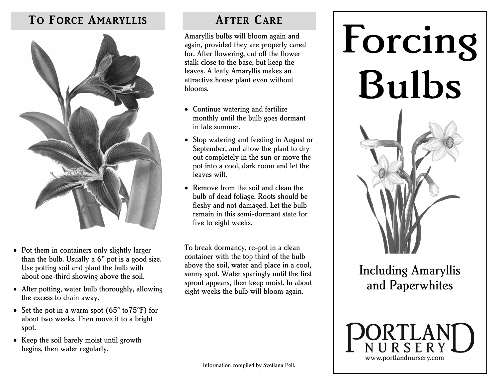### **TO FORCE AMARYLLIS**



- Pot them in containers only slightly larger than the bulb. Usually a 6'' pot is a good size. Use potting soil and plant the bulb with about one-third showing above the soil.
- After potting, water bulb thoroughly, allowing the excess to drain away.
- Set the pot in a warm spot  $(65^{\circ} \text{ to } 75^{\circ} \text{F})$  for about two weeks. Then move it to a bright spot.
- Keep the soil barely moist until growth begins, then water regularly.

### **AFTER CARE**

Amaryllis bulbs will bloom again and again, provided they are properly cared for. After flowering, cut off the flower stalk close to the base, but keep the leaves. A leafy Amaryllis makes an attractive house plant even without blooms.

- Continue watering and fertilize monthly until the bulb goes dormant in late summer.
- Stop watering and feeding in August or September, and allow the plant to dry out completely in the sun or move the pot into a cool, dark room and let the leaves wilt.
- Remove from the soil and clean the bulb of dead foliage. Roots should be fleshy and not damaged. Let the bulb remain in this semi-dormant state for five to eight weeks.

To break dormancy, re-pot in a clean container with the top third of the bulb above the soil, water and place in a cool, sunny spot. Water sparingly until the first sprout appears, then keep moist. In about eight weeks the bulb will bloom again.



# Including Amaryllis and Paperwhites